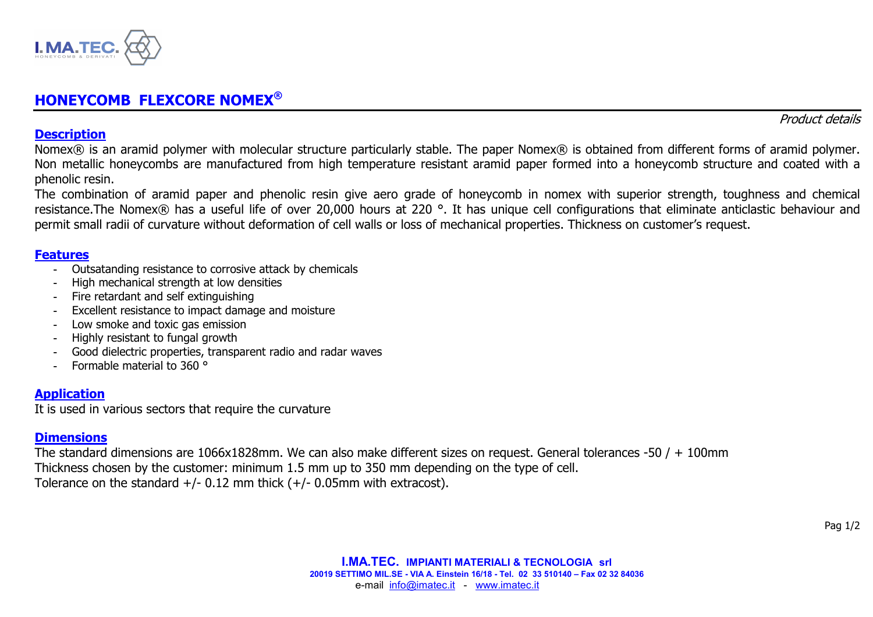

# **HONEYCOMB FLEXCORE NOMEX®**

Product details

### **Description**

Nomex® is an aramid polymer with molecular structure particularly stable. The paper Nomex® is obtained from different forms of aramid polymer. Non metallic honeycombs are manufactured from high temperature resistant aramid paper formed into a honeycomb structure and coated with a phenolic resin.

 The combination of aramid paper and phenolic resin give aero grade of honeycomb in nomex with superior strength, toughness and chemical resistance.The Nomex® has a useful life of over 20,000 hours at 220 °. It has unique cell configurations that eliminate anticlastic behaviour and permit small radii of curvature without deformation of cell walls or loss of mechanical properties. Thickness on customer's request.

### **Features**

- Outsatanding resistance to corrosive attack by chemicals
- High mechanical strength at low densities
- Fire retardant and self extinguishing
- Excellent resistance to impact damage and moisture
- Low smoke and toxic gas emission
- Highly resistant to fungal growth
- Good dielectric properties, transparent radio and radar waves
- Formable material to 360 °

## **Application**

It is used in various sectors that require the curvature

### **Dimensions**

The standard dimensions are 1066x1828mm. We can also make different sizes on request. General tolerances -50  $/ + 100$ mm Thickness chosen by the customer: minimum 1.5 mm up to 350 mm depending on the type of cell. Tolerance on the standard  $+/-$  0.12 mm thick  $(+/-$  0.05mm with extracost).